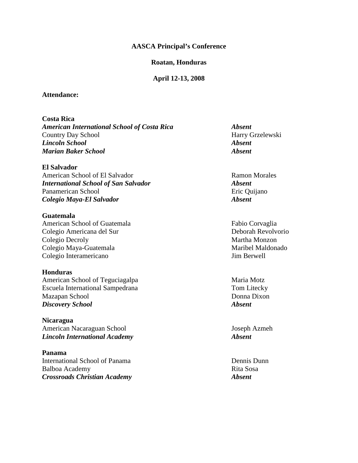#### **AASCA Principal's Conference**

#### **Roatan, Honduras**

#### **April 12-13, 2008**

#### **Attendance:**

**Costa Rica**  *American International School of Costa Rica Absent*  Country Day School Harry Grzelewski *Lincoln School Absent Marian Baker School Absent* 

**El Salvador**  American School of El Salvador Ramon Morales *International School of San Salvador Absent*  Panamerican School **Existence** Eric Quijano *Colegio Maya-El Salvador Absent* 

**Guatemala**  American School of Guatemala Fabio Corvaglia Colegio Americana del Sur Deborah Revolvorio Colegio Decroly **Martha Monzon** Colegio Maya-Guatemala Maribel Maldonado Colegio Interamericano Jim Berwell

**Honduras**  American School of Teguciagalpa Maria Motz Escuela International Sampedrana Tom Litecky Mazapan School Donna Dixon *Discovery School Absent* 

**Nicaragua**  American Nacaraguan School Joseph Azmeh *Lincoln International Academy Absent* 

**Panama**  International School of Panama Dennis Dunn Balboa Academy Rita Sosa *Crossroads Christian Academy Absent*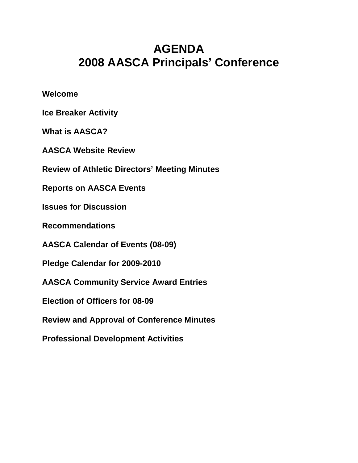# **AGENDA 2008 AASCA Principals' Conference**

**Welcome** 

**Ice Breaker Activity** 

**What is AASCA?** 

**AASCA Website Review** 

**Review of Athletic Directors' Meeting Minutes** 

**Reports on AASCA Events** 

**Issues for Discussion** 

**Recommendations** 

**AASCA Calendar of Events (08-09)** 

**Pledge Calendar for 2009-2010** 

**AASCA Community Service Award Entries** 

**Election of Officers for 08-09** 

**Review and Approval of Conference Minutes** 

**Professional Development Activities**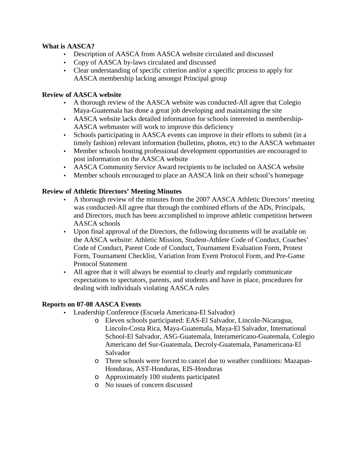## **What is AASCA?**

- Description of AASCA from AASCA website circulated and discussed
- Copy of AASCA by-laws circulated and discussed
- Clear understanding of specific criterion and/or a specific process to apply for AASCA membership lacking amongst Principal group

## **Review of AASCA website**

- A thorough review of the AASCA website was conducted-All agree that Colegio Maya-Guatemala has done a great job developing and maintaining the site
- AASCA website lacks detailed information for schools interested in membership-AASCA webmaster will work to improve this deficiency
- Schools participating in AASCA events can improve in their efforts to submit (in a timely fashion) relevant information (bulletins, photos, etc) to the AASCA webmaster
- Member schools hosting professional development opportunities are encouraged to post information on the AASCA website
- AASCA Community Service Award recipients to be included on AASCA website
- Member schools encouraged to place an AASCA link on their school's homepage

## **Review of Athletic Directors' Meeting Minutes**

- A thorough review of the minutes from the 2007 AASCA Athletic Directors' meeting was conducted-All agree that through the combined efforts of the ADs, Principals, and Directors, much has been accomplished to improve athletic competition between AASCA schools
- Upon final approval of the Directors, the following documents will be available on the AASCA website: Athletic Mission, Student-Athlete Code of Conduct, Coaches' Code of Conduct, Parent Code of Conduct, Tournament Evaluation Form, Protest Form, Tournament Checklist, Variation from Event Protocol Form, and Pre-Game Protocol Statement
- All agree that it will always be essential to clearly and regularly communicate expectations to spectators, parents, and students and have in place, procedures for dealing with individuals violating AASCA rules

## **Reports on 07-08 AASCA Events**

- Leadership Conference (Escuela Americana-El Salvador)
	- o Eleven schools participated: EAS-El Salvador, Lincoln-Nicaragua, Lincoln-Costa Rica, Maya-Guatemala, Maya-El Salvador, International School-El Salvador, ASG-Guatemala, Interamericano-Guatemala, Colegio Americano del Sur-Guatemala, Decroly-Guatemala, Panamericana-El Salvador
	- o Three schools were forced to cancel due to weather conditions: Mazapan-Honduras, AST-Honduras, EIS-Honduras
	- o Approximately 100 students participated
	- o No issues of concern discussed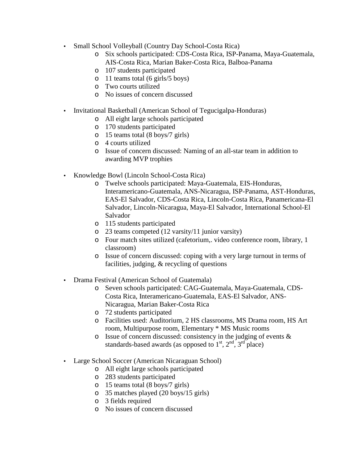- Small School Volleyball (Country Day School-Costa Rica)
	- o Six schools participated: CDS-Costa Rica, ISP-Panama, Maya-Guatemala, AIS-Costa Rica, Marian Baker-Costa Rica, Balboa-Panama
	- o 107 students participated
	- o 11 teams total (6 girls/5 boys)
	- o Two courts utilized
	- o No issues of concern discussed
- Invitational Basketball (American School of Tegucigalpa-Honduras)
	- o All eight large schools participated
	- o 170 students participated
	- o 15 teams total (8 boys/7 girls)
	- o 4 courts utilized
	- o Issue of concern discussed: Naming of an all-star team in addition to awarding MVP trophies
- Knowledge Bowl (Lincoln School-Costa Rica)
	- o Twelve schools participated: Maya-Guatemala, EIS-Honduras, Interamericano-Guatemala, ANS-Nicaragua, ISP-Panama, AST-Honduras, EAS-El Salvador, CDS-Costa Rica, Lincoln-Costa Rica, Panamericana-El Salvador, Lincoln-Nicaragua, Maya-El Salvador, International School-El Salvador
	- o 115 students participated
	- o 23 teams competed (12 varsity/11 junior varsity)
	- o Four match sites utilized (cafetorium,. video conference room, library, 1 classroom)
	- o Issue of concern discussed: coping with a very large turnout in terms of facilities, judging, & recycling of questions
- Drama Festival (American School of Guatemala)
	- o Seven schools participated: CAG-Guatemala, Maya-Guatemala, CDS-Costa Rica, Interamericano-Guatemala, EAS-El Salvador, ANS-Nicaragua, Marian Baker-Costa Rica
	- o 72 students participated
	- o Facilities used: Auditorium, 2 HS classrooms, MS Drama room, HS Art room, Multipurpose room, Elementary \* MS Music rooms
	- o Issue of concern discussed: consistency in the judging of events & standards-based awards (as opposed to  $1<sup>st</sup>$ ,  $2<sup>nd</sup>$ ,  $3<sup>rd</sup>$  place)
- Large School Soccer (American Nicaraguan School)
	- o All eight large schools participated
	- o 283 students participated
	- o 15 teams total (8 boys/7 girls)
	- o 35 matches played (20 boys/15 girls)
	- o 3 fields required
	- o No issues of concern discussed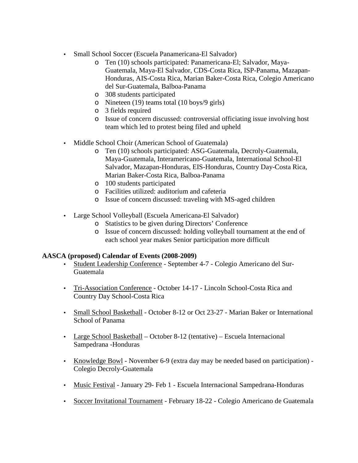- Small School Soccer (Escuela Panamericana-El Salvador)
	- o Ten (10) schools participated: Panamericana-El; Salvador, Maya-Guatemala, Maya-El Salvador, CDS-Costa Rica, ISP-Panama, Mazapan-Honduras, AIS-Costa Rica, Marian Baker-Costa Rica, Colegio Americano del Sur-Guatemala, Balboa-Panama
	- o 308 students participated
	- o Nineteen (19) teams total (10 boys/9 girls)
	- o 3 fields required
	- o Issue of concern discussed: controversial officiating issue involving host team which led to protest being filed and upheld
- Middle School Choir (American School of Guatemala)
	- o Ten (10) schools participated: ASG-Guatemala, Decroly-Guatemala, Maya-Guatemala, Interamericano-Guatemala, International School-El Salvador, Mazapan-Honduras, EIS-Honduras, Country Day-Costa Rica, Marian Baker-Costa Rica, Balboa-Panama
	- o 100 students participated
	- o Facilities utilized: auditorium and cafeteria
	- o Issue of concern discussed: traveling with MS-aged children
- Large School Volleyball (Escuela Americana-El Salvador)
	- o Statistics to be given during Directors' Conference
	- o Issue of concern discussed: holding volleyball tournament at the end of each school year makes Senior participation more difficult

# **AASCA (proposed) Calendar of Events (2008-2009)**

- Student Leadership Conference September 4-7 Colegio Americano del Sur-Guatemala
- Tri-Association Conference October 14-17 Lincoln School-Costa Rica and Country Day School-Costa Rica
- Small School Basketball October 8-12 or Oct 23-27 Marian Baker or International School of Panama
- Large School Basketball October 8-12 (tentative) Escuela Internacional Sampedrana -Honduras
- Knowledge Bowl November 6-9 (extra day may be needed based on participation) Colegio Decroly-Guatemala
- Music Festival January 29- Feb 1 Escuela Internacional Sampedrana-Honduras
- Soccer Invitational Tournament February 18-22 Colegio Americano de Guatemala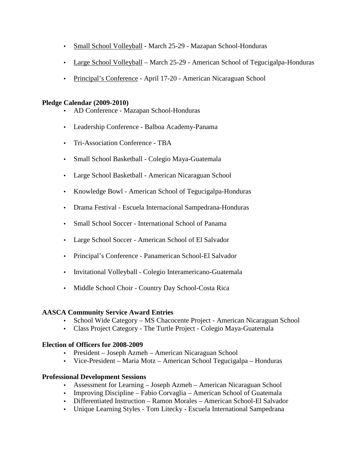- Small School Volleyball March 25-29 Mazapan School-Honduras
- Large School Volleyball March 25-29 American School of Tegucigalpa-Honduras
- Principal's Conference April 17-20 American Nicaraguan School

## **Pledge Calendar (2009-2010)**

- AD Conference Mazapan School-Honduras
- Leadership Conference Balboa Academy-Panama
- Tri-Association Conference TBA
- Small School Basketball Colegio Maya-Guatemala
- Large School Basketball American Nicaraguan School
- Knowledge Bowl American School of Tegucigalpa-Honduras
- Drama Festival Escuela Internacional Sampedrana-Honduras
- Small School Soccer International School of Panama
- Large School Soccer American School of El Salvador
- Principal's Conference Panamerican School-El Salvador
- Invitational Volleyball Colegio Interamericano-Guatemala
- Middle School Choir Country Day School-Costa Rica

# **AASCA Community Service Award Entries**

- School Wide Category MS Chacocente Project American Nicaraguan School
- Class Project Category The Turtle Project Colegio Maya-Guatemala

# **Election of Officers for 2008-2009**

- President Joseph Azmeh American Nicaraguan School
- Vice-President Maria Motz American School Tegucigalpa Honduras

## **Professional Development Sessions**

- Assessment for Learning Joseph Azmeh American Nicaraguan School
- Improving Discipline Fabio Corvaglia American School of Guatemala
- Differentiated Instruction Ramon Morales American School-El Salvador
- Unique Learning Styles Tom LiteckyEscuela International Sampedrana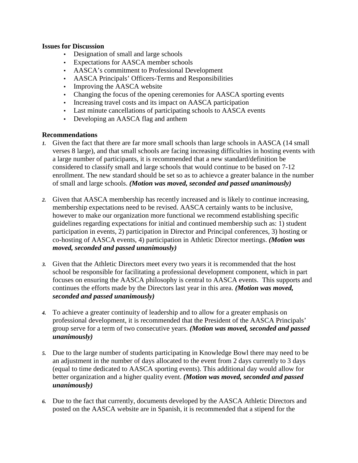## **Issues for Discussion**

- Designation of small and large schools
- Expectations for AASCA member schools
- AASCA's commitment to Professional Development
- AASCA Principals' Officers-Terms and Responsibilities
- Improving the AASCA website
- Changing the focus of the opening ceremonies for AASCA sporting events
- Increasing travel costs and its impact on AASCA participation
- Last minute cancellations of participating schools to AASCA events
- Developing an AASCA flag and anthem

## **Recommendations**

- *1.* Given the fact that there are far more small schools than large schools in AASCA (14 small verses 8 large), and that small schools are facing increasing difficulties in hosting events with a large number of participants, it is recommended that a new standard/definition be considered to classify small and large schools that would continue to be based on 7-12 enrollment. The new standard should be set so as to achievce a greater balance in the number of small and large schools. *(Motion was moved, seconded and passed unanimously)*
- *2.* Given that AASCA membership has recently increased and is likely to continue increasing, membership expectations need to be revised. AASCA certainly wants to be inclusive, however to make our organization more functional we recommend establishing specific guidelines regarding expectations for initial and continued membership such as: 1) student participation in events, 2) participation in Director and Principal conferences, 3) hosting or co-hosting of AASCA events, 4) participation in Athletic Director meetings. *(Motion was moved, seconded and passed unanimously)*
- *3.* Given that the Athletic Directors meet every two years it is recommended that the host school be responsible for facilitating a professional development component, which in part focuses on ensuring the AASCA philosophy is central to AASCA events. This supports and continues the efforts made by the Directors last year in this area. *(Motion was moved, seconded and passed unanimously)*
- *4.* To achieve a greater continuity of leadership and to allow for a greater emphasis on professional development, it is recommended that the President of the AASCA Principals' group serve for a term of two consecutive years. *(Motion was moved, seconded and passed unanimously)*
- *5.* Due to the large number of students participating in Knowledge Bowl there may need to be an adjustment in the number of days allocated to the event from 2 days currently to 3 days (equal to time dedicated to AASCA sporting events). This additional day would allow for better organization and a higher quality event. *(Motion was moved, seconded and passed unanimously)*
- *6.* Due to the fact that currently, documents developed by the AASCA Athletic Directors and posted on the AASCA website are in Spanish, it is recommended that a stipend for the